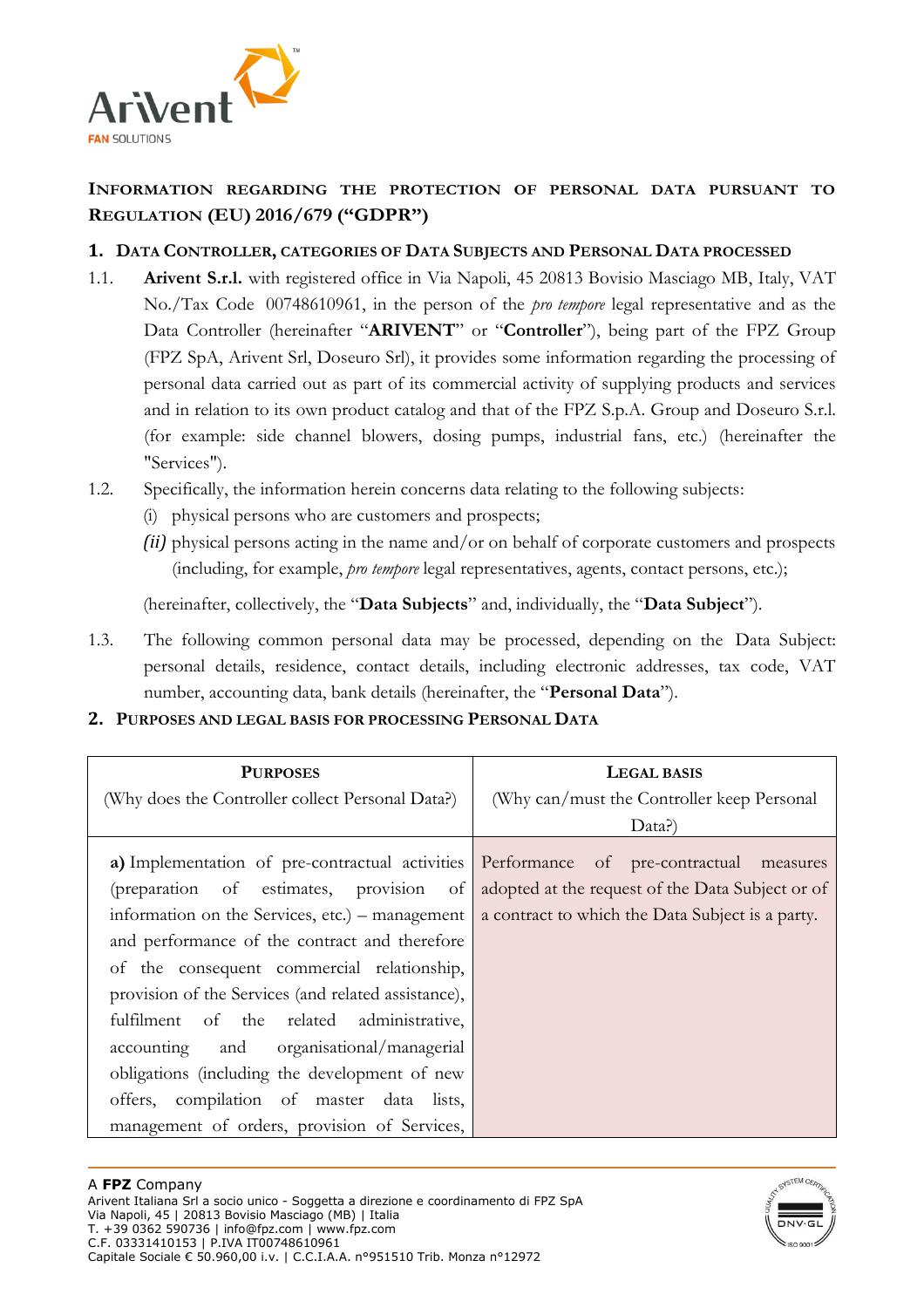

# **INFORMATION REGARDING THE PROTECTION OF PERSONAL DATA PURSUANT TO REGULATION (EU) 2016/679 ("GDPR")**

# **1. DATA CONTROLLER, CATEGORIES OF DATA SUBJECTS AND PERSONAL DATA PROCESSED**

- 1.1. **Arivent S.r.l.** with registered office in Via Napoli, 45 20813 Bovisio Masciago MB, Italy, VAT No./Tax Code 00748610961, in the person of the *pro tempore* legal representative and as the Data Controller (hereinafter "**ARIVENT**" or "**Controller**"), being part of the FPZ Group (FPZ SpA, Arivent Srl, Doseuro Srl), it provides some information regarding the processing of personal data carried out as part of its commercial activity of supplying products and services and in relation to its own product catalog and that of the FPZ S.p.A. Group and Doseuro S.r.l. (for example: side channel blowers, dosing pumps, industrial fans, etc.) (hereinafter the "Services").
- 1.2. Specifically, the information herein concerns data relating to the following subjects:
	- (i) physical persons who are customers and prospects;
	- *(ii)* physical persons acting in the name and/or on behalf of corporate customers and prospects (including, for example, *pro tempore* legal representatives, agents, contact persons, etc.);

(hereinafter, collectively, the "**Data Subjects**" and, individually, the "**Data Subject**").

- 1.3. The following common personal data may be processed, depending on the Data Subject: personal details, residence, contact details, including electronic addresses, tax code, VAT number, accounting data, bank details (hereinafter, the "**Personal Data**").
- **2. PURPOSES AND LEGAL BASIS FOR PROCESSING PERSONAL DATA**

| <b>PURPOSES</b>                                                                                                                       | <b>LEGAL BASIS</b>                               |
|---------------------------------------------------------------------------------------------------------------------------------------|--------------------------------------------------|
| (Why does the Controller collect Personal Data?)                                                                                      | (Why can/must the Controller keep Personal       |
|                                                                                                                                       | Data?)                                           |
| a) Implementation of pre-contractual activities Performance of pre-contractual measures<br>(preparation of estimates, provision<br>of | adopted at the request of the Data Subject or of |
| information on the Services, etc.) – management                                                                                       | a contract to which the Data Subject is a party. |
| and performance of the contract and therefore                                                                                         |                                                  |
| of the consequent commercial relationship,                                                                                            |                                                  |
| provision of the Services (and related assistance),                                                                                   |                                                  |
| fulfilment of the related administrative,                                                                                             |                                                  |
| accounting and organisational/managerial                                                                                              |                                                  |
| obligations (including the development of new                                                                                         |                                                  |
| offers, compilation of master data lists,                                                                                             |                                                  |
| management of orders, provision of Services,                                                                                          |                                                  |

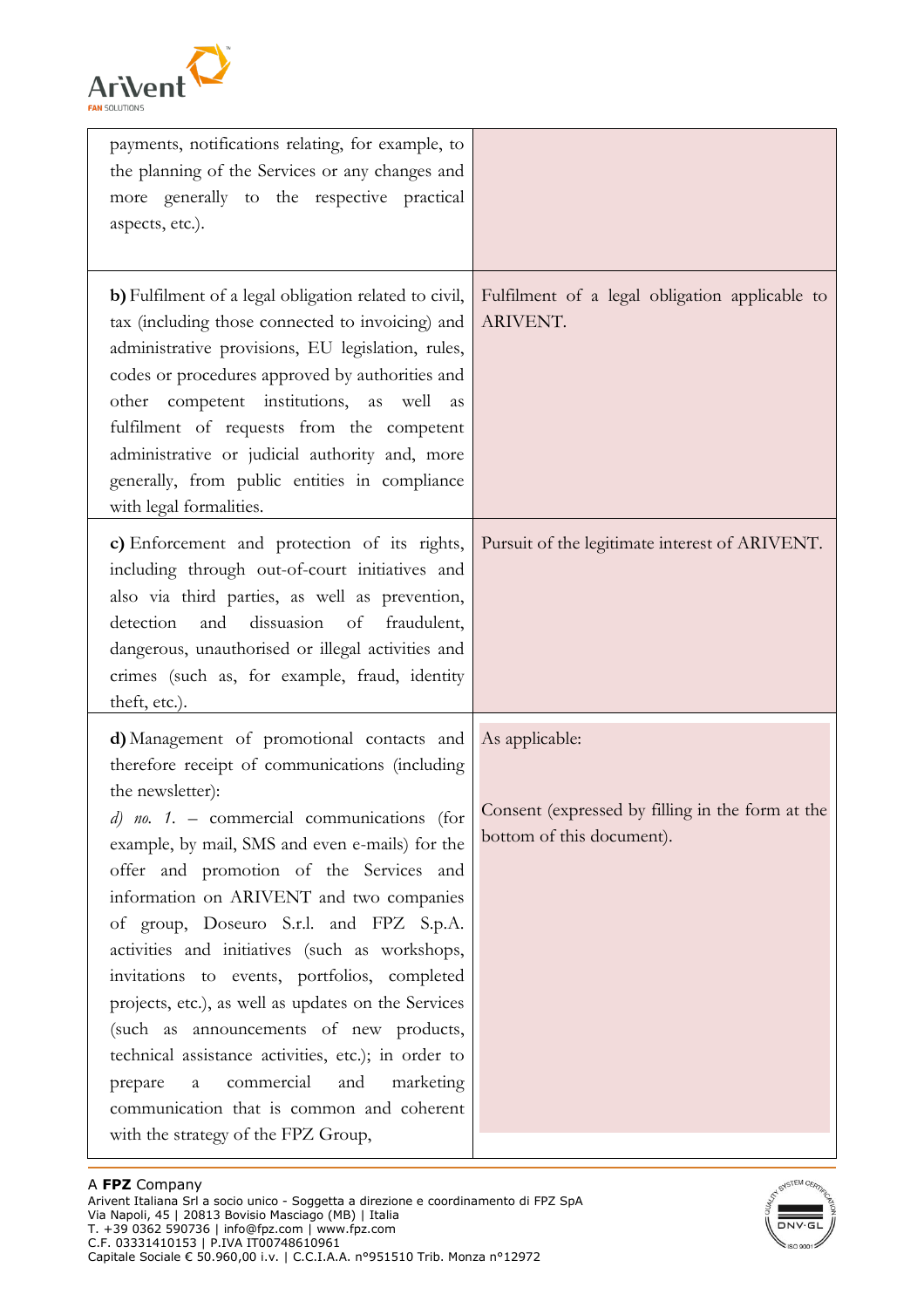

| payments, notifications relating, for example, to<br>the planning of the Services or any changes and<br>more generally to the respective practical<br>aspects, etc.).                                                                                                                                                                                                                                                                                                                                                                                                                                                                                                                                                                                               |                                                                                                 |
|---------------------------------------------------------------------------------------------------------------------------------------------------------------------------------------------------------------------------------------------------------------------------------------------------------------------------------------------------------------------------------------------------------------------------------------------------------------------------------------------------------------------------------------------------------------------------------------------------------------------------------------------------------------------------------------------------------------------------------------------------------------------|-------------------------------------------------------------------------------------------------|
| b) Fulfilment of a legal obligation related to civil,<br>tax (including those connected to invoicing) and<br>administrative provisions, EU legislation, rules,<br>codes or procedures approved by authorities and<br>other competent institutions, as well<br>as<br>fulfilment of requests from the competent<br>administrative or judicial authority and, more<br>generally, from public entities in compliance<br>with legal formalities.                                                                                                                                                                                                                                                                                                                         | Fulfilment of a legal obligation applicable to<br>ARIVENT.                                      |
| c) Enforcement and protection of its rights,<br>including through out-of-court initiatives and<br>also via third parties, as well as prevention,<br>dissuasion<br>detection<br>and<br>of<br>fraudulent,<br>dangerous, unauthorised or illegal activities and<br>crimes (such as, for example, fraud, identity<br>theft, etc.).                                                                                                                                                                                                                                                                                                                                                                                                                                      | Pursuit of the legitimate interest of ARIVENT.                                                  |
| d) Management of promotional contacts and<br>therefore receipt of communications (including<br>the newsletter):<br>$d)$ no. 1. - commercial communications<br>(for<br>example, by mail, SMS and even e-mails) for the<br>offer and promotion of the Services and<br>information on ARIVENT and two companies<br>of group, Doseuro S.r.l. and FPZ S.p.A.<br>activities and initiatives (such as workshops,<br>invitations to events, portfolios, completed<br>projects, etc.), as well as updates on the Services<br>(such as announcements of new products,<br>technical assistance activities, etc.); in order to<br>commercial<br>and<br>marketing<br>prepare<br>$\mathbf{a}$<br>communication that is common and coherent<br>with the strategy of the FPZ Group, | As applicable:<br>Consent (expressed by filling in the form at the<br>bottom of this document). |

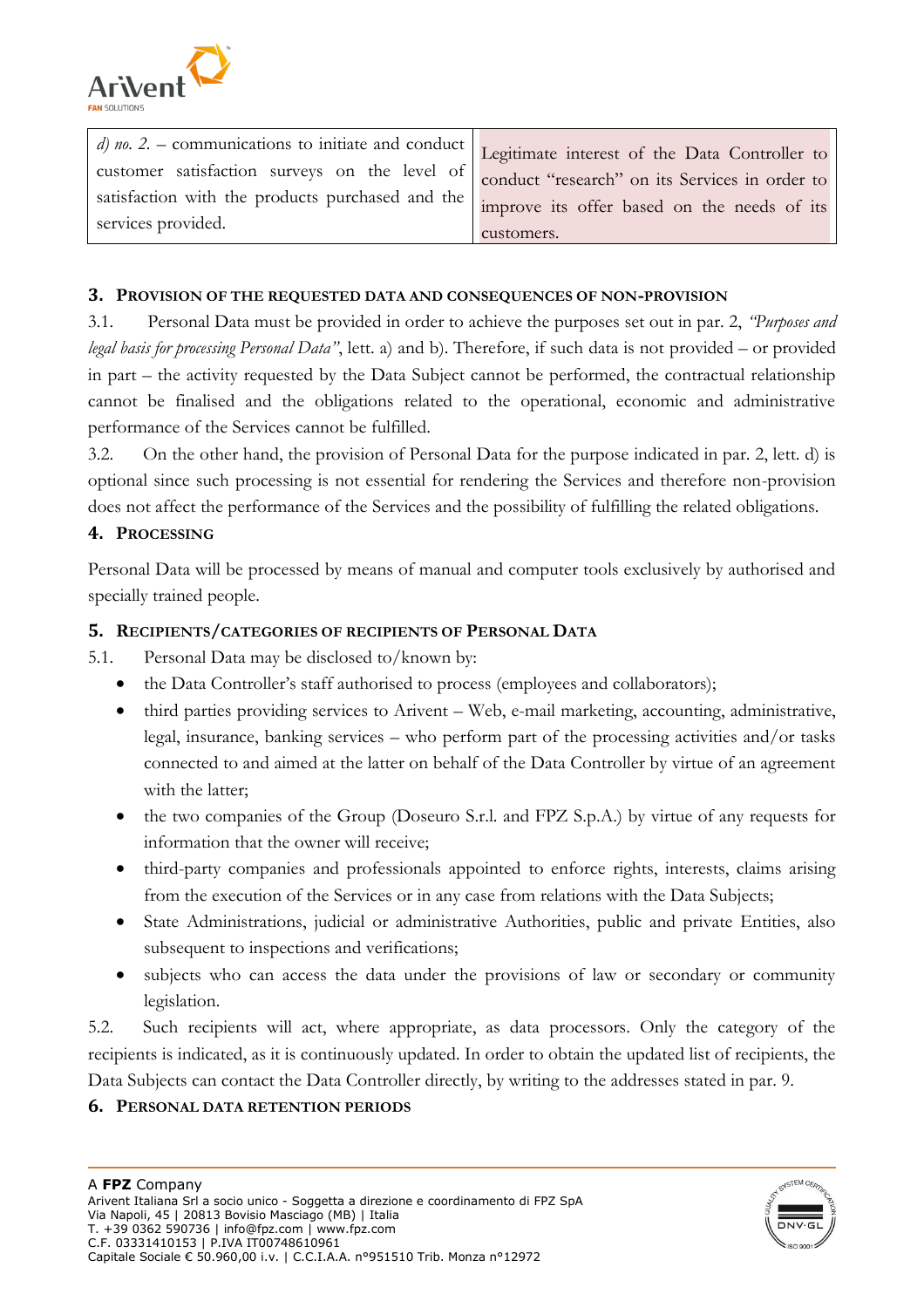

| d) no. 2. – communications to initiate and conduct $\vert$ Legitimate interest of the Data Controller to |            |
|----------------------------------------------------------------------------------------------------------|------------|
| customer satisfaction surveys on the level of conduct "research" on its Services in order to             |            |
| satisfaction with the products purchased and the   improve its offer based on the needs of its           |            |
| services provided.                                                                                       | customers. |

### **3. PROVISION OF THE REQUESTED DATA AND CONSEQUENCES OF NON-PROVISION**

3.1. Personal Data must be provided in order to achieve the purposes set out in par. 2, *"Purposes and legal basis for processing Personal Data"*, lett. a) and b). Therefore, if such data is not provided – or provided in part – the activity requested by the Data Subject cannot be performed, the contractual relationship cannot be finalised and the obligations related to the operational, economic and administrative performance of the Services cannot be fulfilled.

3.2. On the other hand, the provision of Personal Data for the purpose indicated in par. 2, lett. d) is optional since such processing is not essential for rendering the Services and therefore non-provision does not affect the performance of the Services and the possibility of fulfilling the related obligations.

## **4. PROCESSING**

Personal Data will be processed by means of manual and computer tools exclusively by authorised and specially trained people.

#### **5. RECIPIENTS/CATEGORIES OF RECIPIENTS OF PERSONAL DATA**

- 5.1. Personal Data may be disclosed to/known by:
	- the Data Controller's staff authorised to process (employees and collaborators);
	- third parties providing services to Arivent Web, e-mail marketing, accounting, administrative, legal, insurance, banking services – who perform part of the processing activities and/or tasks connected to and aimed at the latter on behalf of the Data Controller by virtue of an agreement with the latter;
	- the two companies of the Group (Doseuro S.r.l. and FPZ S.p.A.) by virtue of any requests for information that the owner will receive;
	- third-party companies and professionals appointed to enforce rights, interests, claims arising from the execution of the Services or in any case from relations with the Data Subjects;
	- State Administrations, judicial or administrative Authorities, public and private Entities, also subsequent to inspections and verifications;
	- subjects who can access the data under the provisions of law or secondary or community legislation.

5.2. Such recipients will act, where appropriate, as data processors. Only the category of the recipients is indicated, as it is continuously updated. In order to obtain the updated list of recipients, the Data Subjects can contact the Data Controller directly, by writing to the addresses stated in par. 9.

#### **6. PERSONAL DATA RETENTION PERIODS**

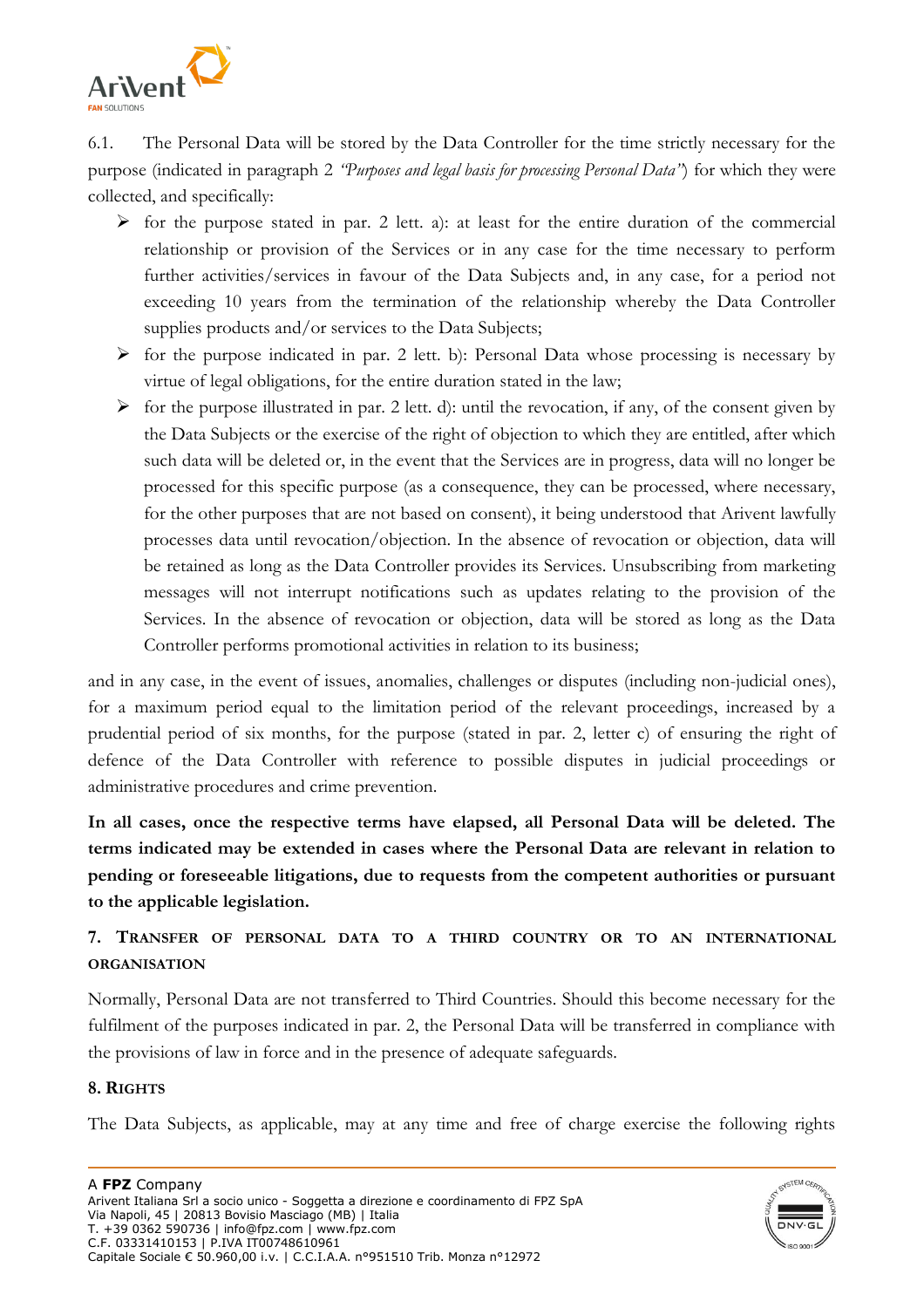

6.1. The Personal Data will be stored by the Data Controller for the time strictly necessary for the purpose (indicated in paragraph 2 *"Purposes and legal basis for processing Personal Data"*) for which they were collected, and specifically:

- $\triangleright$  for the purpose stated in par. 2 lett. a): at least for the entire duration of the commercial relationship or provision of the Services or in any case for the time necessary to perform further activities/services in favour of the Data Subjects and, in any case, for a period not exceeding 10 years from the termination of the relationship whereby the Data Controller supplies products and/or services to the Data Subjects;
- $\triangleright$  for the purpose indicated in par. 2 lett. b): Personal Data whose processing is necessary by virtue of legal obligations, for the entire duration stated in the law;
- $\triangleright$  for the purpose illustrated in par. 2 lett. d): until the revocation, if any, of the consent given by the Data Subjects or the exercise of the right of objection to which they are entitled, after which such data will be deleted or, in the event that the Services are in progress, data will no longer be processed for this specific purpose (as a consequence, they can be processed, where necessary, for the other purposes that are not based on consent), it being understood that Arivent lawfully processes data until revocation/objection. In the absence of revocation or objection, data will be retained as long as the Data Controller provides its Services. Unsubscribing from marketing messages will not interrupt notifications such as updates relating to the provision of the Services. In the absence of revocation or objection, data will be stored as long as the Data Controller performs promotional activities in relation to its business;

and in any case, in the event of issues, anomalies, challenges or disputes (including non-judicial ones), for a maximum period equal to the limitation period of the relevant proceedings, increased by a prudential period of six months, for the purpose (stated in par. 2, letter c) of ensuring the right of defence of the Data Controller with reference to possible disputes in judicial proceedings or administrative procedures and crime prevention.

**In all cases, once the respective terms have elapsed, all Personal Data will be deleted. The terms indicated may be extended in cases where the Personal Data are relevant in relation to pending or foreseeable litigations, due to requests from the competent authorities or pursuant to the applicable legislation.** 

# **7. TRANSFER OF PERSONAL DATA TO A THIRD COUNTRY OR TO AN INTERNATIONAL ORGANISATION**

Normally, Personal Data are not transferred to Third Countries. Should this become necessary for the fulfilment of the purposes indicated in par. 2, the Personal Data will be transferred in compliance with the provisions of law in force and in the presence of adequate safeguards.

## **8. RIGHTS**

The Data Subjects, as applicable, may at any time and free of charge exercise the following rights

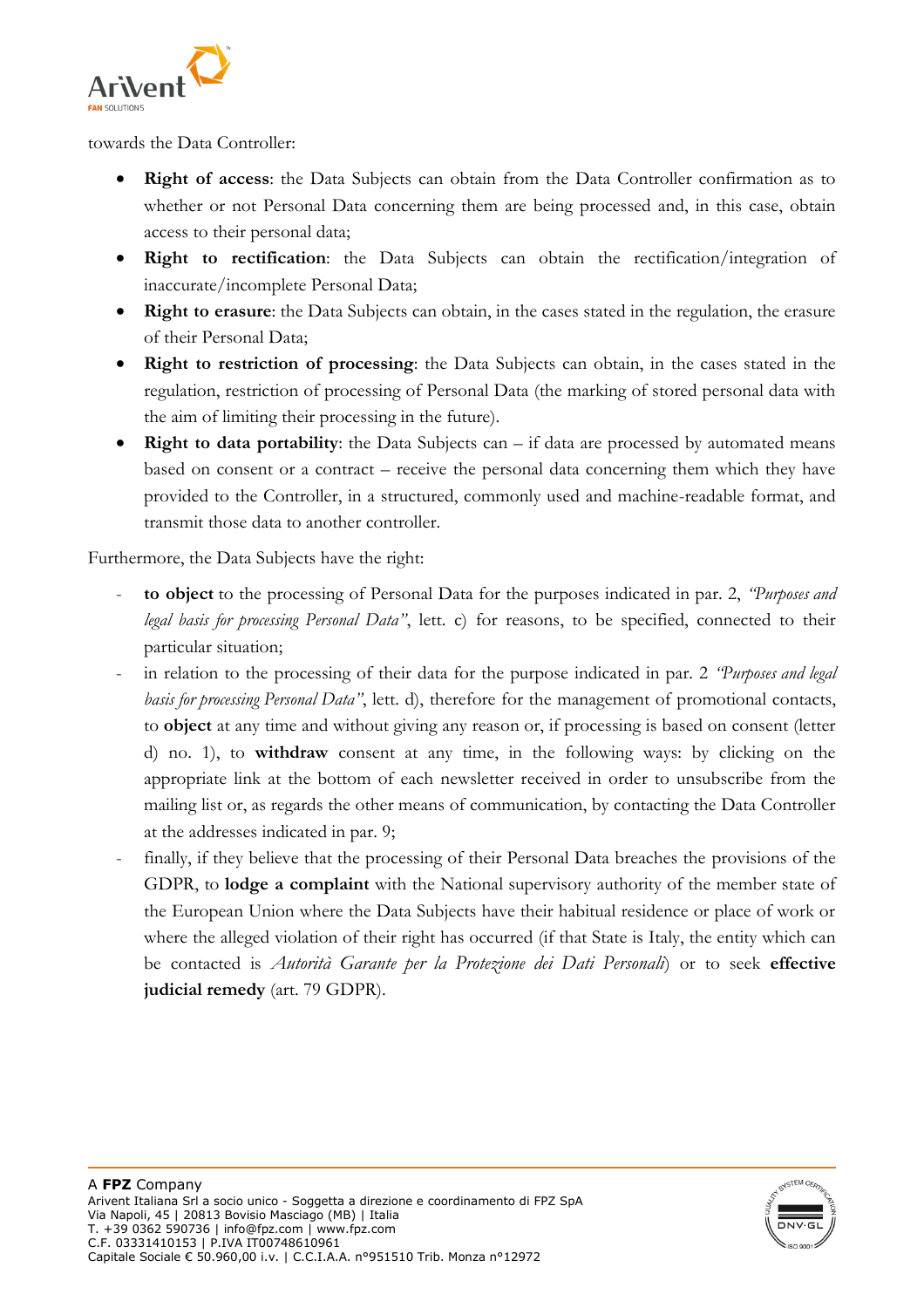

towards the Data Controller:

- **Right of access**: the Data Subjects can obtain from the Data Controller confirmation as to whether or not Personal Data concerning them are being processed and, in this case, obtain access to their personal data;
- **Right to rectification**: the Data Subjects can obtain the rectification/integration of inaccurate/incomplete Personal Data;
- **Right to erasure**: the Data Subjects can obtain, in the cases stated in the regulation, the erasure of their Personal Data;
- **Right to restriction of processing**: the Data Subjects can obtain, in the cases stated in the regulation, restriction of processing of Personal Data (the marking of stored personal data with the aim of limiting their processing in the future).
- **Right to data portability**: the Data Subjects can if data are processed by automated means based on consent or a contract – receive the personal data concerning them which they have provided to the Controller, in a structured, commonly used and machine-readable format, and transmit those data to another controller.

Furthermore, the Data Subjects have the right:

- **to object** to the processing of Personal Data for the purposes indicated in par. 2, *"Purposes and legal basis for processing Personal Data"*, lett. c) for reasons, to be specified, connected to their particular situation;
- in relation to the processing of their data for the purpose indicated in par. 2 *"Purposes and legal*" *basis for processing Personal Data"*, lett. d), therefore for the management of promotional contacts, to **object** at any time and without giving any reason or, if processing is based on consent (letter d) no. 1), to **withdraw** consent at any time, in the following ways: by clicking on the appropriate link at the bottom of each newsletter received in order to unsubscribe from the mailing list or, as regards the other means of communication, by contacting the Data Controller at the addresses indicated in par. 9;
- finally, if they believe that the processing of their Personal Data breaches the provisions of the GDPR, to **lodge a complaint** with the National supervisory authority of the member state of the European Union where the Data Subjects have their habitual residence or place of work or where the alleged violation of their right has occurred (if that State is Italy, the entity which can be contacted is *Autorità Garante per la Protezione dei Dati Personali*) or to seek **effective judicial remedy** (art. 79 GDPR).